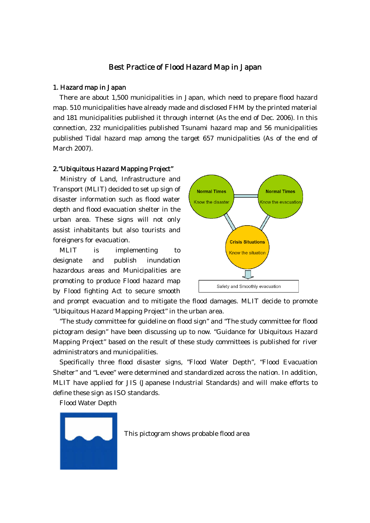#### Best Practice of Flood Hazard Map in Japan

#### 1. Hazard map in Japan

There are about 1,500 municipalities in Japan, which need to prepare flood hazard map. 510 municipalities have already made and disclosed FHM by the printed material and 181 municipalities published it through internet (As the end of Dec. 2006). In this connection, 232 municipalities published Tsunami hazard map and 56 municipalities published Tidal hazard map among the target 657 municipalities (As of the end of March 2007).

#### 2."Ubiquitous Hazard Mapping Project"

Ministry of Land, Infrastructure and Transport (MLIT) decided to set up sign of disaster information such as flood water depth and flood evacuation shelter in the urban area. These signs will not only assist inhabitants but also tourists and foreigners for evacuation.

MLIT is implementing to designate and publish inundation hazardous areas and Municipalities are promoting to produce Flood hazard map by Flood fighting Act to secure smooth



and prompt evacuation and to mitigate the flood damages. MLIT decide to promote "Ubiquitous Hazard Mapping Project" in the urban area.

"The study committee for guideline on flood sign" and "The study committee for flood pictogram design" have been discussing up to now. "Guidance for Ubiquitous Hazard Mapping Project" based on the result of these study committees is published for river administrators and municipalities.

Specifically three flood disaster signs, "Flood Water Depth", "Flood Evacuation Shelter" and "Levee" were determined and standardized across the nation. In addition, MLIT have applied for JIS (Japanese Industrial Standards) and will make efforts to define these sign as ISO standards.

Flood Water Depth



This pictogram shows probable flood area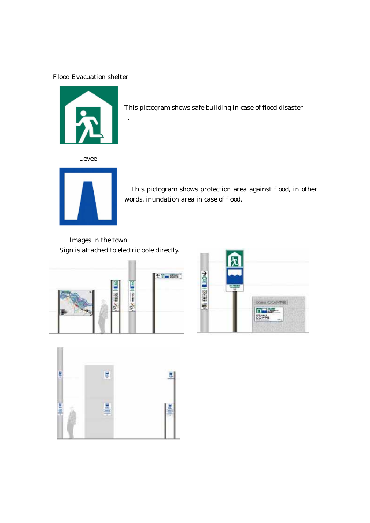## Flood Evacuation shelter



This pictogram shows safe building in case of flood disaster

Levee



This pictogram shows protection area against flood, in other words, inundation area in case of flood.

 Images in the town Sign is attached to electric pole directly.





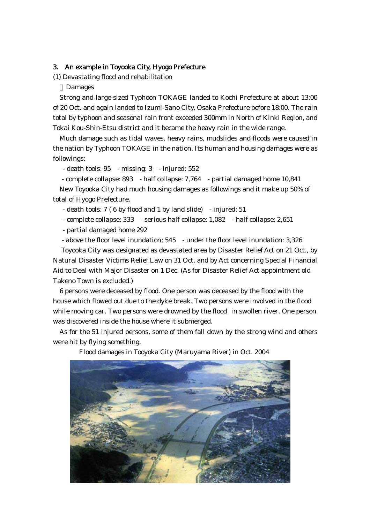#### 3. An example in Toyooka City, Hyogo Prefecture

(1) Devastating flood and rehabilitation

**Damages** 

Strong and large-sized Typhoon TOKAGE landed to Kochi Prefecture at about 13:00 of 20 Oct. and again landed to Izumi-Sano City, Osaka Prefecture before 18:00. The rain total by typhoon and seasonal rain front exceeded 300mm in North of Kinki Region, and Tokai Kou-Shin-Etsu district and it became the heavy rain in the wide range.

Much damage such as tidal waves, heavy rains, mudslides and floods were caused in the nation by Typhoon TOKAGE in the nation. Its human and housing damages were as followings:

- death tools: 95 - missing: 3 - injured: 552

- complete collapse: 893 - half collapse: 7,764 - partial damaged home 10,841

New Toyooka City had much housing damages as followings and it make up 50% of total of Hyogo Prefecture.

- death tools: 7 ( 6 by flood and 1 by land slide) - injured: 51

- complete collapse: 333 - serious half collapse: 1,082 - half collapse: 2,651

- partial damaged home 292

- above the floor level inundation: 545 - under the floor level inundation: 3,326

Toyooka City was designated as devastated area by Disaster Relief Act on 21 Oct., by Natural Disaster Victims Relief Law on 31 Oct. and by Act concerning Special Financial Aid to Deal with Major Disaster on 1 Dec. (As for Disaster Relief Act appointment old Takeno Town is excluded.)

6 persons were deceased by flood. One person was deceased by the flood with the house which flowed out due to the dyke break. Two persons were involved in the flood while moving car. Two persons were drowned by the flood in swollen river. One person was discovered inside the house where it submerged.

As for the 51 injured persons, some of them fall down by the strong wind and others were hit by flying something.



Flood damages in Tooyoka City (Maruyama River) in Oct. 2004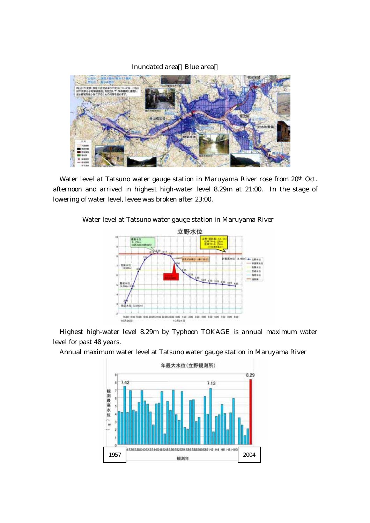

Water level at Tatsuno water gauge station in Maruyama River rose from 20<sup>th</sup> Oct. afternoon and arrived in highest high-water level 8.29m at 21:00. In the stage of lowering of water level, levee was broken after 23:00.

### Water level at Tatsuno water gauge station in Maruyama River



Highest high-water level 8.29m by Typhoon TOKAGE is annual maximum water level for past 48 years.

Annual maximum water level at Tatsuno water gauge station in Maruyama River

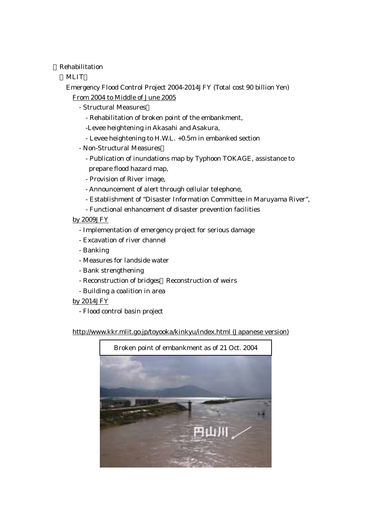Rehabilitation

**MLIT** 

 Emergency Flood Control Project 2004-2014JFY (Total cost 90 billion Yen) From 2004 to Middle of June 2005

- Structural Measures
	- Rehabilitation of broken point of the embankment,
	- -Levee heightening in Akasahi and Asakura,
	- Levee heightening to H.W.L. +0.5m in embanked section
- Non-Structural Measures
	- Publication of inundations map by Typhoon TOKAGE, assistance to prepare flood hazard map,
	- Provision of River image,
	- Announcement of alert through cellular telephone,
	- Establishment of "Disaster Information Committee in Maruyama River",
	- Functional enhancement of disaster prevention facilities

### by 2009JFY

- Implementation of emergency project for serious damage
- Excavation of river channel
- Banking
- Measures for landside water
- Bank strengthening
- Reconstruction of bridges Reconstruction of weirs
- Building a coalition in area

### by 2014JFY

- Flood control basin project

http://www.kkr.mlit.go.jp/toyooka/kinkyu/index.html (Japanese version)

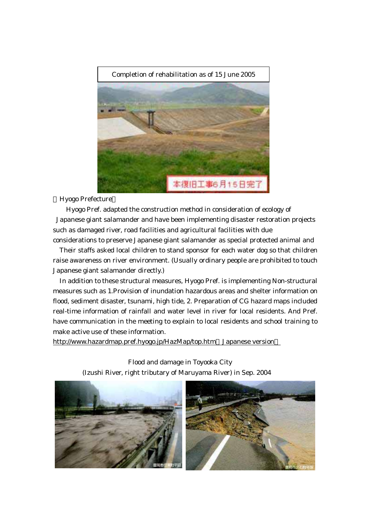

Hyogo Prefecture

 Hyogo Pref. adapted the construction method in consideration of ecology of Japanese giant salamander and have been implementing disaster restoration projects such as damaged river, road facilities and agricultural facilities with due

considerations to preserve Japanese giant salamander as special protected animal and Their staffs asked local children to stand sponsor for each water dog so that children raise awareness on river environment. (Usually ordinary people are prohibited to touch Japanese giant salamander directly.)

In addition to these structural measures, Hyogo Pref. is implementing Non-structural measures such as 1.Provision of inundation hazardous areas and shelter information on flood, sediment disaster, tsunami, high tide, 2. Preparation of CG hazard maps included real-time information of rainfall and water level in river for local residents. And Pref. have communication in the meeting to explain to local residents and school training to make active use of these information.

http://www.hazardmap.pref.hyogo.jp/HazMap/top.htm Japanese version

 Flood and damage in Toyooka City (Izushi River, right tributary of Maruyama River) in Sep. 2004

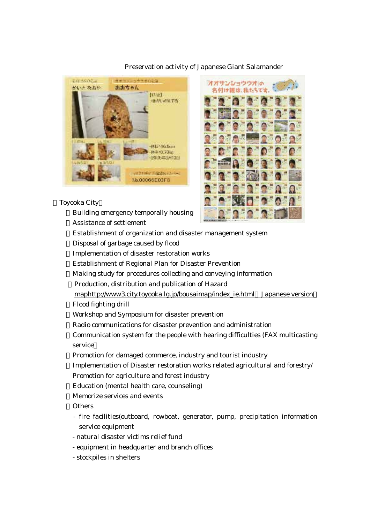

## Preservation activity of Japanese Giant Salamander

#### Toyooka City

Building emergency temporally housing Assistance of settlement



Establishment of organization and disaster management system Disposal of garbage caused by flood Implementation of disaster restoration works Establishment of Regional Plan for Disaster Prevention Making study for procedures collecting and conveying information Production, distribution and publication of Hazard maphttp://www3.city.toyooka.lg.jp/bousaimap/index\_ie.html Japanese version Flood fighting drill Workshop and Symposium for disaster prevention Radio communications for disaster prevention and administration Communication system for the people with hearing difficulties (FAX multicasting service Promotion for damaged commerce, industry and tourist industry Implementation of Disaster restoration works related agricultural and forestry/ Promotion for agriculture and forest industry Education (mental health care, counseling) Memorize services and events **Others**  - fire facilities(outboard, rowboat, generator, pump, precipitation information service equipment

- natural disaster victims relief fund
- equipment in headquarter and branch offices
- stockpiles in shelters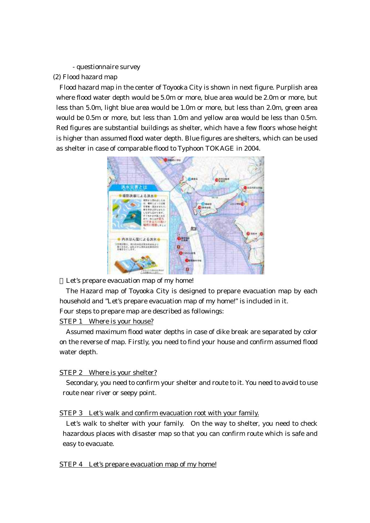- questionnaire survey

(2) Flood hazard map

Flood hazard map in the center of Toyooka City is shown in next figure. Purplish area where flood water depth would be 5.0m or more, blue area would be 2.0m or more, but less than 5.0m, light blue area would be 1.0m or more, but less than 2.0m, green area would be 0.5m or more, but less than 1.0m and yellow area would be less than 0.5m. Red figures are substantial buildings as shelter, which have a few floors whose height is higher than assumed flood water depth. Blue figures are shelters, which can be used as shelter in case of comparable flood to Typhoon TOKAGE in 2004.



Let's prepare evacuation map of my home!

 The Hazard map of Toyooka City is designed to prepare evacuation map by each household and "Let's prepare evacuation map of my home!" is included in it. Four steps to prepare map are described as followings:

STEP 1 Where is your house?

 Assumed maximum flood water depths in case of dike break are separated by color on the reverse of map. Firstly, you need to find your house and confirm assumed flood water depth.

# STEP 2 Where is your shelter?

 Secondary, you need to confirm your shelter and route to it. You need to avoid to use route near river or seepy point.

# STEP 3 Let's walk and confirm evacuation root with your family.

 Let's walk to shelter with your family. On the way to shelter, you need to check hazardous places with disaster map so that you can confirm route which is safe and easy to evacuate.

STEP 4 Let's prepare evacuation map of my home!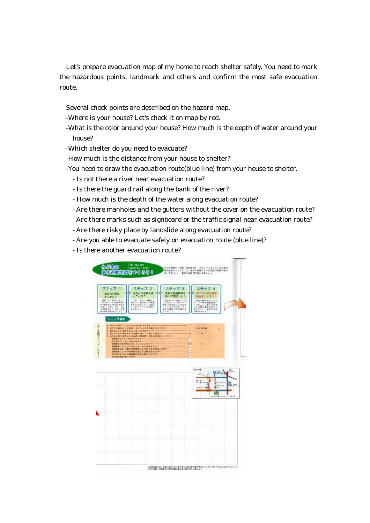Let's prepare evacuation map of my home to reach shelter safely. You need to mark the hazardous points, landmark and others and confirm the most safe evacuation route.

Several check points are described on the hazard map.

- -Where is your house? Let's check it on map by red.
- -What is the color around your house? How much is the depth of water around your house?
- -Which shelter do you need to evacuate?
- -How much is the distance from your house to shelter?
- -You need to draw the evacuation route(blue line) from your house to shelter.
	- Is not there a river near evacuation route?
	- Is there the guard rail along the bank of the river?
	- How much is the depth of the water along evacuation route?
	- Are there manholes and the gutters without the cover on the evacuation route?
	- Are there marks such as signboard or the traffic signal near evacuation route?
	- Are there risky place by landslide along evacuation route?
	- Are you able to evacuate safely on evacuation route (blue line)?
	- Is there another evacuation route?

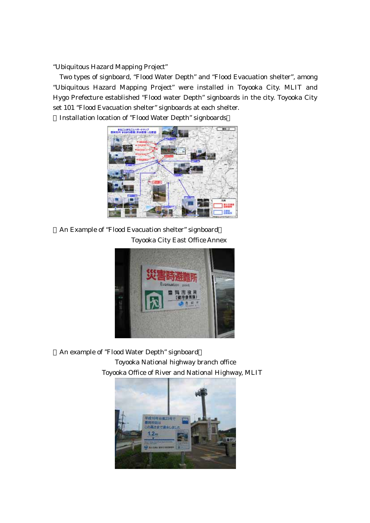"Ubiquitous Hazard Mapping Project"

Two types of signboard, "Flood Water Depth" and "Flood Evacuation shelter", among "Ubiquitous Hazard Mapping Project" were installed in Toyooka City. MLIT and Hygo Prefecture established "Flood water Depth" signboards in the city. Toyooka City set 101 "Flood Evacuation shelter" signboards at each shelter.

Installation location of "Flood Water Depth" signboards



An Example of "Flood Evacuation shelter" signboard Toyooka City East Office Annex



An example of "Flood Water Depth" signboard Toyooka National highway branch office Toyooka Office of River and National Highway, MLIT